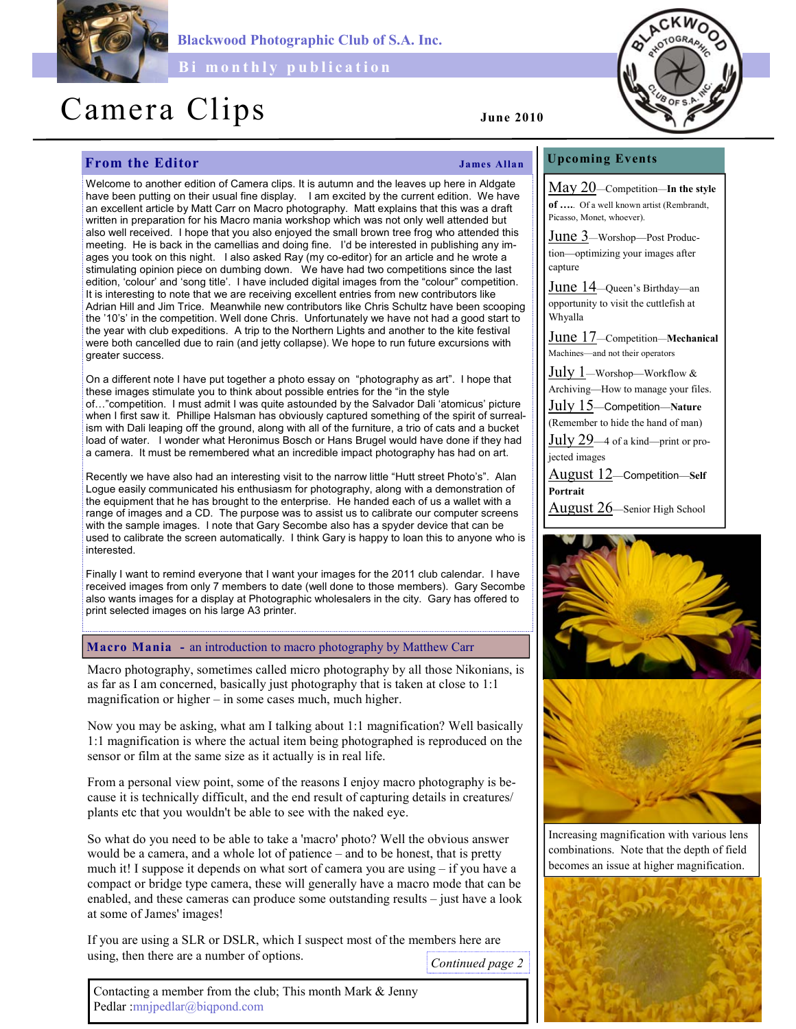

Blackwood Photographic Club of S.A. Inc.

Bi monthly publication

# Camera Clips June 2010

# **From the Editor** James Allan

Welcome to another edition of Camera clips. It is autumn and the leaves up here in Aldgate have been putting on their usual fine display. I am excited by the current edition. We have an excellent article by Matt Carr on Macro photography. Matt explains that this was a draft written in preparation for his Macro mania workshop which was not only well attended but also well received. I hope that you also enjoyed the small brown tree frog who attended this meeting. He is back in the camellias and doing fine. I'd be interested in publishing any images you took on this night. I also asked Ray (my co-editor) for an article and he wrote a stimulating opinion piece on dumbing down. We have had two competitions since the last edition, 'colour' and 'song title'. I have included digital images from the "colour" competition. It is interesting to note that we are receiving excellent entries from new contributors like Adrian Hill and Jim Trice. Meanwhile new contributors like Chris Schultz have been scooping the '10's' in the competition. Well done Chris. Unfortunately we have not had a good start to the year with club expeditions. A trip to the Northern Lights and another to the kite festival were both cancelled due to rain (and jetty collapse). We hope to run future excursions with greater success.

On a different note I have put together a photo essay on "photography as art". I hope that these images stimulate you to think about possible entries for the "in the style of…"competition. I must admit I was quite astounded by the Salvador Dali 'atomicus' picture when I first saw it. Phillipe Halsman has obviously captured something of the spirit of surrealism with Dali leaping off the ground, along with all of the furniture, a trio of cats and a bucket load of water. I wonder what Heronimus Bosch or Hans Brugel would have done if they had a camera. It must be remembered what an incredible impact photography has had on art.

Recently we have also had an interesting visit to the narrow little "Hutt street Photo's". Alan Logue easily communicated his enthusiasm for photography, along with a demonstration of the equipment that he has brought to the enterprise. He handed each of us a wallet with a range of images and a CD. The purpose was to assist us to calibrate our computer screens with the sample images. I note that Gary Secombe also has a spyder device that can be used to calibrate the screen automatically. I think Gary is happy to loan this to anyone who is interested.

Finally I want to remind everyone that I want your images for the 2011 club calendar. I have received images from only 7 members to date (well done to those members). Gary Secombe also wants images for a display at Photographic wholesalers in the city. Gary has offered to print selected images on his large A3 printer.

### Macro Mania - an introduction to macro photography by Matthew Carr

Macro photography, sometimes called micro photography by all those Nikonians, is as far as I am concerned, basically just photography that is taken at close to 1:1 magnification or higher – in some cases much, much higher.

Now you may be asking, what am I talking about 1:1 magnification? Well basically 1:1 magnification is where the actual item being photographed is reproduced on the sensor or film at the same size as it actually is in real life.

From a personal view point, some of the reasons I enjoy macro photography is because it is technically difficult, and the end result of capturing details in creatures/ plants etc that you wouldn't be able to see with the naked eye.

So what do you need to be able to take a 'macro' photo? Well the obvious answer would be a camera, and a whole lot of patience – and to be honest, that is pretty much it! I suppose it depends on what sort of camera you are using – if you have a compact or bridge type camera, these will generally have a macro mode that can be enabled, and these cameras can produce some outstanding results – just have a look at some of James' images!

If you are using a SLR or DSLR, which I suspect most of the members here are using, then there are a number of options.

Continued page 2

## Upcoming Events

May 20—Competition—In the style of ….. Of a well known artist (Rembrandt, Picasso, Monet, whoever).

June 3—Worshop—Post Production—optimizing your images after capture

June 14—Queen's Birthday—an opportunity to visit the cuttlefish at Whyalla

June 17—Competition—Mechanical Machines—and not their operators

July 1—Worshop—Workflow & Archiving—How to manage your files.

July 15—Competition—Nature (Remember to hide the hand of man)

 $\text{July }29-4$  of a kind—print or projected images

August 12—Competition—Self Portrait

August 26—Senior High School



Increasing magnification with various lens combinations. Note that the depth of field becomes an issue at higher magnification.



Contacting a member from the club; This month Mark & Jenny Pedlar :mnjpedlar@biqpond.com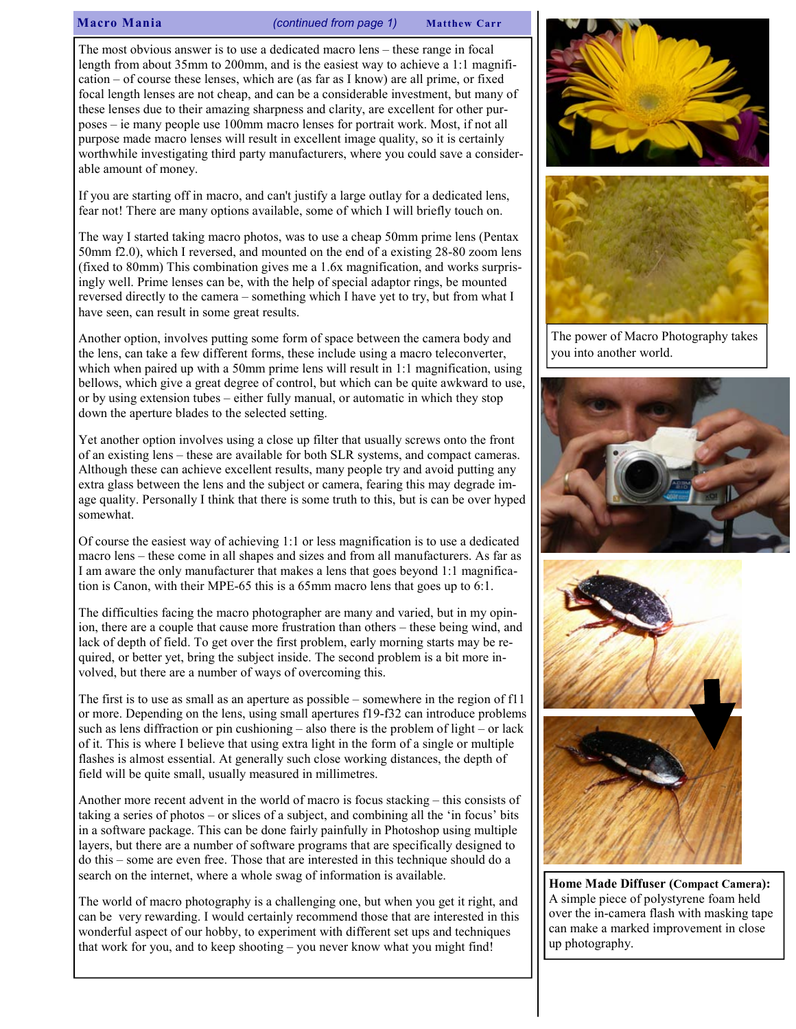Macro Mania (continued from page 1) Matthew Carr

The most obvious answer is to use a dedicated macro lens – these range in focal length from about 35mm to 200mm, and is the easiest way to achieve a 1:1 magnification – of course these lenses, which are (as far as I know) are all prime, or fixed focal length lenses are not cheap, and can be a considerable investment, but many of these lenses due to their amazing sharpness and clarity, are excellent for other purposes – ie many people use 100mm macro lenses for portrait work. Most, if not all purpose made macro lenses will result in excellent image quality, so it is certainly worthwhile investigating third party manufacturers, where you could save a considerable amount of money.

If you are starting off in macro, and can't justify a large outlay for a dedicated lens, fear not! There are many options available, some of which I will briefly touch on.

The way I started taking macro photos, was to use a cheap 50mm prime lens (Pentax 50mm f2.0), which I reversed, and mounted on the end of a existing 28-80 zoom lens (fixed to 80mm) This combination gives me a 1.6x magnification, and works surprisingly well. Prime lenses can be, with the help of special adaptor rings, be mounted reversed directly to the camera – something which I have yet to try, but from what I have seen, can result in some great results.

Another option, involves putting some form of space between the camera body and the lens, can take a few different forms, these include using a macro teleconverter, which when paired up with a 50mm prime lens will result in 1:1 magnification, using bellows, which give a great degree of control, but which can be quite awkward to use, or by using extension tubes – either fully manual, or automatic in which they stop down the aperture blades to the selected setting.

Yet another option involves using a close up filter that usually screws onto the front of an existing lens – these are available for both SLR systems, and compact cameras. Although these can achieve excellent results, many people try and avoid putting any extra glass between the lens and the subject or camera, fearing this may degrade image quality. Personally I think that there is some truth to this, but is can be over hyped somewhat.

Of course the easiest way of achieving 1:1 or less magnification is to use a dedicated macro lens – these come in all shapes and sizes and from all manufacturers. As far as I am aware the only manufacturer that makes a lens that goes beyond 1:1 magnification is Canon, with their MPE-65 this is a 65mm macro lens that goes up to 6:1.

The difficulties facing the macro photographer are many and varied, but in my opinion, there are a couple that cause more frustration than others – these being wind, and lack of depth of field. To get over the first problem, early morning starts may be required, or better yet, bring the subject inside. The second problem is a bit more involved, but there are a number of ways of overcoming this.

The first is to use as small as an aperture as possible – somewhere in the region of f11 or more. Depending on the lens, using small apertures f19-f32 can introduce problems such as lens diffraction or pin cushioning – also there is the problem of light – or lack of it. This is where I believe that using extra light in the form of a single or multiple flashes is almost essential. At generally such close working distances, the depth of field will be quite small, usually measured in millimetres.

Another more recent advent in the world of macro is focus stacking – this consists of taking a series of photos – or slices of a subject, and combining all the 'in focus' bits in a software package. This can be done fairly painfully in Photoshop using multiple layers, but there are a number of software programs that are specifically designed to do this – some are even free. Those that are interested in this technique should do a search on the internet, where a whole swag of information is available.

The world of macro photography is a challenging one, but when you get it right, and can be very rewarding. I would certainly recommend those that are interested in this wonderful aspect of our hobby, to experiment with different set ups and techniques that work for you, and to keep shooting – you never know what you might find!





The power of Macro Photography takes you into another world.





Home Made Diffuser (Compact Camera): A simple piece of polystyrene foam held over the in-camera flash with masking tape can make a marked improvement in close up photography.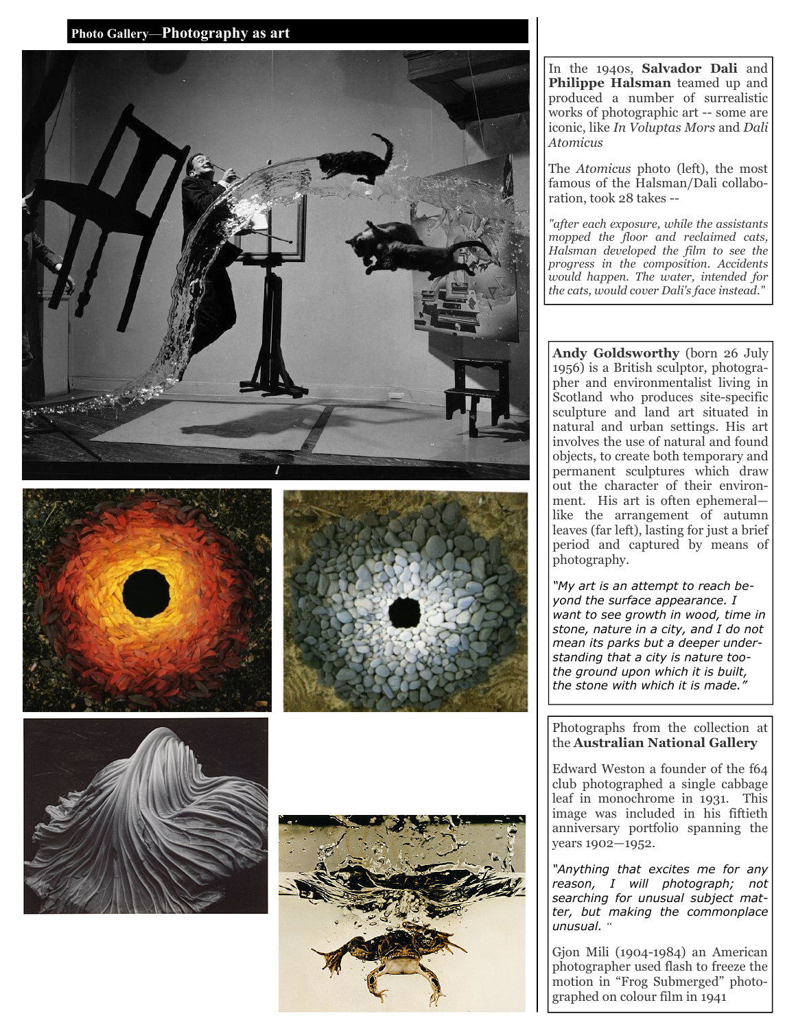Photo Gallery —Photography as art











In the 1940s, Salvador Dali and Philippe Halsman teamed up and produced a number of surrealistic works of photographic art -- some are iconic, like In Voluptas Mors and Dali Atomicus

The Atomicus photo (left), the most famous of the Halsman/Dali collaboration, took 28 takes --

"after each exposure, while the assistants mopped the floor and reclaimed cats, Halsman developed the film to see the progress in the composition. Accidents would happen. The water, intended for the cats, would cover Dali's face instead."

Andy Goldsworthy (born 26 July 1956) is a British sculptor, photographer and environmentalist living in Scotland who produces site-specific sculpture and land art situated in natural and urban settings. His art involves the use of natural and found objects, to create both temporary and permanent sculptures which draw out the character of their environment. His art is often ephemeral like the arrangement of autumn leaves (far left), lasting for just a brief period and captured by means of photography.

"My art is an attempt to reach beyond the surface appearance. I want to see growth in wood, time in stone, nature in a city, and I do not mean its parks but a deeper understanding that a city is nature toothe ground upon which it is built, the stone with which it is made.

#### Photographs from the collection at the Australian National Gallery

Edward Weston a founder of the f64 club photographed a single cabbage leaf in monochrome in 1931. This image was included in his fiftieth anniversary portfolio spanning the years 1902—1952.

"Anything that excites me for any reason, I will photograph; not searching for unusual subject matter, but making the commonplace unusual. "

Gjon Mili (1904-1984) an American photographer used flash to freeze the motion in "Frog Submerged" photographed on colour film in 1941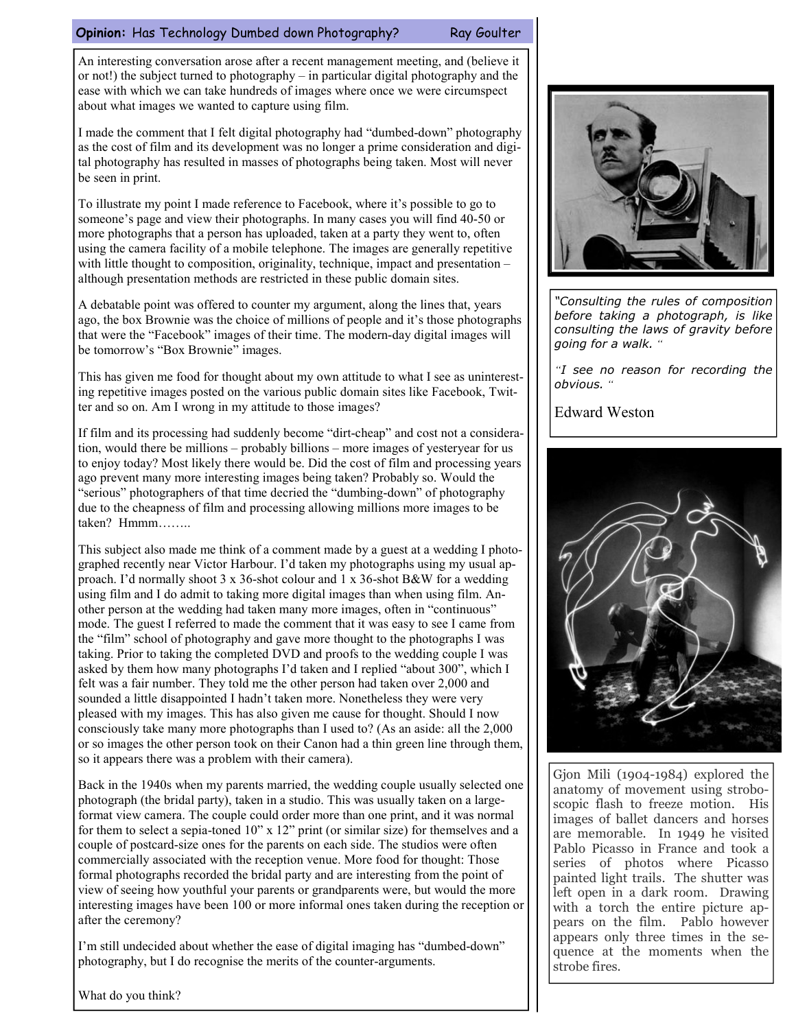### Opinion: Has Technology Dumbed down Photography? Ray Goulter

An interesting conversation arose after a recent management meeting, and (believe it or not!) the subject turned to photography – in particular digital photography and the ease with which we can take hundreds of images where once we were circumspect about what images we wanted to capture using film.

I made the comment that I felt digital photography had "dumbed-down" photography as the cost of film and its development was no longer a prime consideration and digital photography has resulted in masses of photographs being taken. Most will never be seen in print.

To illustrate my point I made reference to Facebook, where it's possible to go to someone's page and view their photographs. In many cases you will find 40-50 or more photographs that a person has uploaded, taken at a party they went to, often using the camera facility of a mobile telephone. The images are generally repetitive with little thought to composition, originality, technique, impact and presentation – although presentation methods are restricted in these public domain sites.

A debatable point was offered to counter my argument, along the lines that, years ago, the box Brownie was the choice of millions of people and it's those photographs that were the "Facebook" images of their time. The modern-day digital images will be tomorrow's "Box Brownie" images.

This has given me food for thought about my own attitude to what I see as uninteresting repetitive images posted on the various public domain sites like Facebook, Twitter and so on. Am I wrong in my attitude to those images?

If film and its processing had suddenly become "dirt-cheap" and cost not a consideration, would there be millions – probably billions – more images of yesteryear for us to enjoy today? Most likely there would be. Did the cost of film and processing years ago prevent many more interesting images being taken? Probably so. Would the "serious" photographers of that time decried the "dumbing-down" of photography due to the cheapness of film and processing allowing millions more images to be taken? Hmmm……..

This subject also made me think of a comment made by a guest at a wedding I photographed recently near Victor Harbour. I'd taken my photographs using my usual approach. I'd normally shoot 3 x 36-shot colour and 1 x 36-shot B&W for a wedding using film and I do admit to taking more digital images than when using film. Another person at the wedding had taken many more images, often in "continuous" mode. The guest I referred to made the comment that it was easy to see I came from the "film" school of photography and gave more thought to the photographs I was taking. Prior to taking the completed DVD and proofs to the wedding couple I was asked by them how many photographs I'd taken and I replied "about 300", which I felt was a fair number. They told me the other person had taken over 2,000 and sounded a little disappointed I hadn't taken more. Nonetheless they were very pleased with my images. This has also given me cause for thought. Should I now consciously take many more photographs than I used to? (As an aside: all the 2,000 or so images the other person took on their Canon had a thin green line through them, so it appears there was a problem with their camera).

Back in the 1940s when my parents married, the wedding couple usually selected one photograph (the bridal party), taken in a studio. This was usually taken on a largeformat view camera. The couple could order more than one print, and it was normal for them to select a sepia-toned 10" x 12" print (or similar size) for themselves and a couple of postcard-size ones for the parents on each side. The studios were often commercially associated with the reception venue. More food for thought: Those formal photographs recorded the bridal party and are interesting from the point of view of seeing how youthful your parents or grandparents were, but would the more interesting images have been 100 or more informal ones taken during the reception or after the ceremony?

I'm still undecided about whether the ease of digital imaging has "dumbed-down" photography, but I do recognise the merits of the counter-arguments.



"Consulting the rules of composition before taking a photograph, is like consulting the laws of gravity before going for a walk. "

"I see no reason for recording the obvious. "

Edward Weston



Gjon Mili (1904-1984) explored the anatomy of movement using stroboscopic flash to freeze motion. His images of ballet dancers and horses are memorable. In 1949 he visited Pablo Picasso in France and took a series of photos where Picasso painted light trails. The shutter was left open in a dark room. Drawing with a torch the entire picture appears on the film. Pablo however appears only three times in the sequence at the moments when the strobe fires.

What do you think?